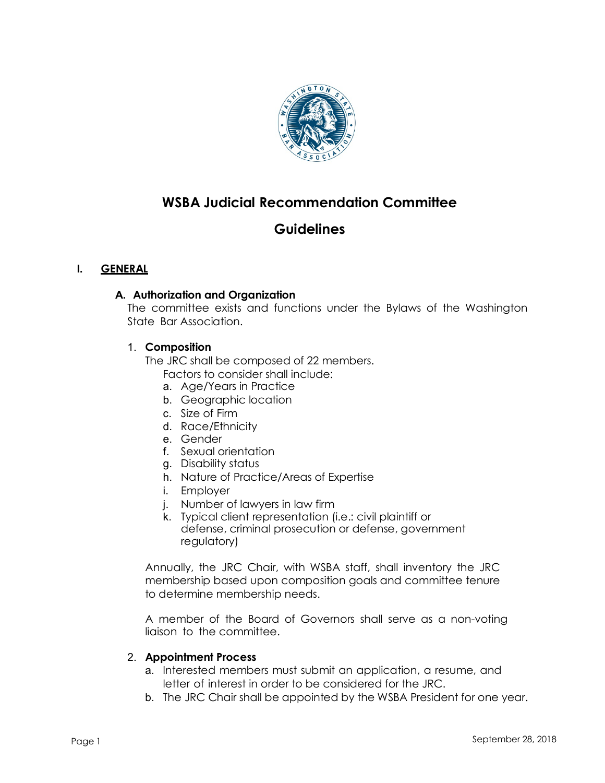

# **WSBA Judicial Recommendation Committee**

# **Guidelines**

# **I. GENERAL**

### **A. Authorization and Organization**

The committee exists and functions under the Bylaws of the Washington State Bar Association.

### 1. **Composition**

The JRC shall be composed of 22 members.

- Factors to consider shall include:
- a. Age/Years in Practice
- b. Geographic location
- c. Size of Firm
- d. Race/Ethnicity
- e. Gender
- f. Sexual orientation
- g. Disability status
- h. Nature of Practice/Areas of Expertise
- i. Employer
- j. Number of lawyers in law firm
- k. Typical client representation (i.e.: civil plaintiff or defense, criminal prosecution or defense, government regulatory)

Annually, the JRC Chair, with WSBA staff, shall inventory the JRC membership based upon composition goals and committee tenure to determine membership needs.

A member of the Board of Governors shall serve as a non-voting liaison to the committee.

#### 2. **Appointment Process**

- a. Interested members must submit an application, a resume, and letter of interest in order to be considered for the JRC.
- b. The JRC Chair shall be appointed by the WSBA President for one year.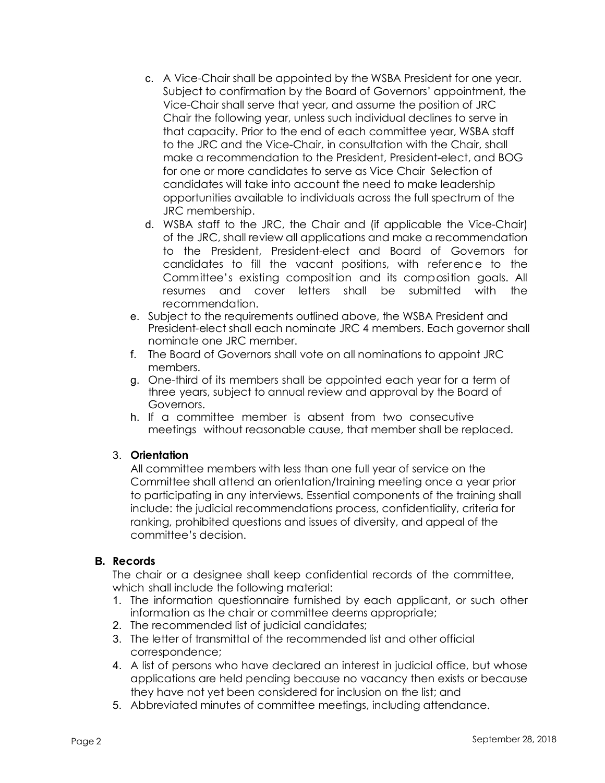- c. A Vice-Chair shall be appointed by the WSBA President for one year. Subject to confirmation by the Board of Governors' appointment, the Vice-Chair shall serve that year, and assume the position of JRC Chair the following year, unless such individual declines to serve in that capacity. Prior to the end of each committee year, WSBA staff to the JRC and the Vice-Chair, in consultation with the Chair, shall make a recommendation to the President, President-elect, and BOG for one or more candidates to serve as Vice Chair Selection of candidates will take into account the need to make leadership opportunities available to individuals across the full spectrum of the JRC membership.
- d. WSBA staff to the JRC, the Chair and (if applicable the Vice-Chair) of the JRC, shall review all applications and make a recommendation to the President, President-elect and Board of Governors for candidates to fill the vacant positions, with reference to the Committee's existing composition and its composition goals. All resumes and cover letters shall be submitted with the recommendation.
- e. Subject to the requirements outlined above, the WSBA President and President-elect shall each nominate JRC 4 members. Each governor shall nominate one JRC member.
- f. The Board of Governors shall vote on all nominations to appoint JRC members.
- g. One-third of its members shall be appointed each year for a term of three years, subject to annual review and approval by the Board of Governors.
- h. If a committee member is absent from two consecutive meetings without reasonable cause, that member shall be replaced.

# 3. **Orientation**

All committee members with less than one full year of service on the Committee shall attend an orientation/training meeting once a year prior to participating in any interviews. Essential components of the training shall include: the judicial recommendations process, confidentiality, criteria for ranking, prohibited questions and issues of diversity, and appeal of the committee's decision.

# **B. Records**

The chair or a designee shall keep confidential records of the committee, which shall include the following material:

- 1. The information questionnaire furnished by each applicant, or such other information as the chair or committee deems appropriate;
- 2. The recommended list of judicial candidates;
- 3. The letter of transmittal of the recommended list and other official correspondence;
- 4. A list of persons who have declared an interest in judicial office, but whose applications are held pending because no vacancy then exists or because they have not yet been considered for inclusion on the list; and
- 5. Abbreviated minutes of committee meetings, including attendance.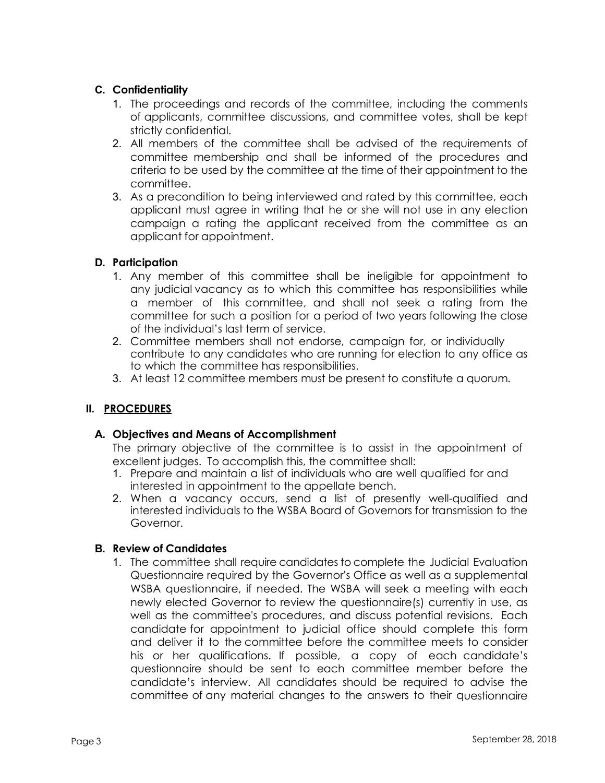# **C. Confidentiality**

- 1. The proceedings and records of the committee, including the comments of applicants, committee discussions, and committee votes, shall be kept strictly confidential.
- 2. All members of the committee shall be advised of the requirements of committee membership and shall be informed of the procedures and criteria to be used by the committee at the time of their appointment to the committee.
- 3. As a precondition to being interviewed and rated by this committee, each applicant must agree in writing that he or she will not use in any election campaign a rating the applicant received from the committee as an applicant for appointment.

# **D. Participation**

- 1. Any member of this committee shall be ineligible for appointment to any judicial vacancy as to which this committee has responsibilities while a member of this committee, and shall not seek a rating from the committee for such a position for a period of two years following the close of the individual's last term of service.
- 2. Committee members shall not endorse, campaign for, or individually contribute to any candidates who are running for election to any office as to which the committee has responsibilities.
- 3. At least 12 committee members must be present to constitute a quorum.

# **II. PROCEDURES**

# **A. Objectives and Means of Accomplishment**

The primary objective of the committee is to assist in the appointment of excellent judges. To accomplish this, the committee shall:

- 1. Prepare and maintain a list of individuals who are well qualified for and interested in appointment to the appellate bench.
- 2. When a vacancy occurs, send a list of presently well-qualified and interested individuals to the WSBA Board of Governors for transmission to the Governor.

# **B. Review of Candidates**

1. The committee shall require candidates to complete the Judicial Evaluation Questionnaire required by the Governor's Office as well as a supplemental WSBA questionnaire, if needed. The WSBA will seek a meeting with each newly elected Governor to review the questionnaire(s) currently in use, as well as the committee's procedures, and discuss potential revisions. Each candidate for appointment to judicial office should complete this form and deliver it to the committee before the committee meets to consider his or her qualifications. If possible, a copy of each candidate's questionnaire should be sent to each committee member before the candidate's interview. All candidates should be required to advise the committee of any material changes to the answers to their questionnaire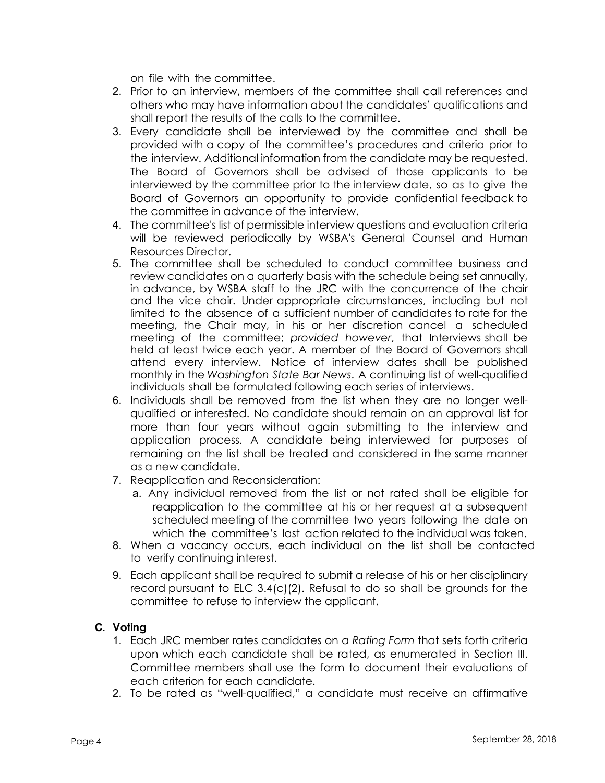on file with the committee.

- 2. Prior to an interview, members of the committee shall call references and others who may have information about the candidates' qualifications and shall report the results of the calls to the committee.
- 3. Every candidate shall be interviewed by the committee and shall be provided with a copy of the committee's procedures and criteria prior to the interview. Additional information from the candidate may be requested. The Board of Governors shall be advised of those applicants to be interviewed by the committee prior to the interview date, so as to give the Board of Governors an opportunity to provide confidential feedback to the committee in advance of the interview.
- 4. The committee's list of permissible interview questions and evaluation criteria will be reviewed periodically by WSBA's General Counsel and Human Resources Director.
- 5. The committee shall be scheduled to conduct committee business and review candidates on a quarterly basis with the schedule being set annually, in advance, by WSBA staff to the JRC with the concurrence of the chair and the vice chair. Under appropriate circumstances, including but not limited to the absence of a sufficient number of candidates to rate for the meeting, the Chair may, in his or her discretion cancel a scheduled meeting of the committee; *provided however*, that Interviews shall be held at least twice each year. A member of the Board of Governors shall attend every interview. Notice of interview dates shall be published monthly in the *Washington State Bar News*. A continuing list of well-qualified individuals shall be formulated following each series of interviews.
- 6. Individuals shall be removed from the list when they are no longer wellqualified or interested. No candidate should remain on an approval list for more than four years without again submitting to the interview and application process. A candidate being interviewed for purposes of remaining on the list shall be treated and considered in the same manner as a new candidate.
- 7. Reapplication and Reconsideration:
	- a. Any individual removed from the list or not rated shall be eligible for reapplication to the committee at his or her request at a subsequent scheduled meeting of the committee two years following the date on which the committee's last action related to the individual was taken.
- 8. When a vacancy occurs, each individual on the list shall be contacted to verify continuing interest.
- 9. Each applicant shall be required to submit a release of his or her disciplinary record pursuant to ELC 3.4(c)(2). Refusal to do so shall be grounds for the committee to refuse to interview the applicant.

#### **C. Voting**

- 1. Each JRC member rates candidates on a *Rating Form* that sets forth criteria upon which each candidate shall be rated, as enumerated in Section III. Committee members shall use the form to document their evaluations of each criterion for each candidate.
- 2. To be rated as "well-qualified," a candidate must receive an affirmative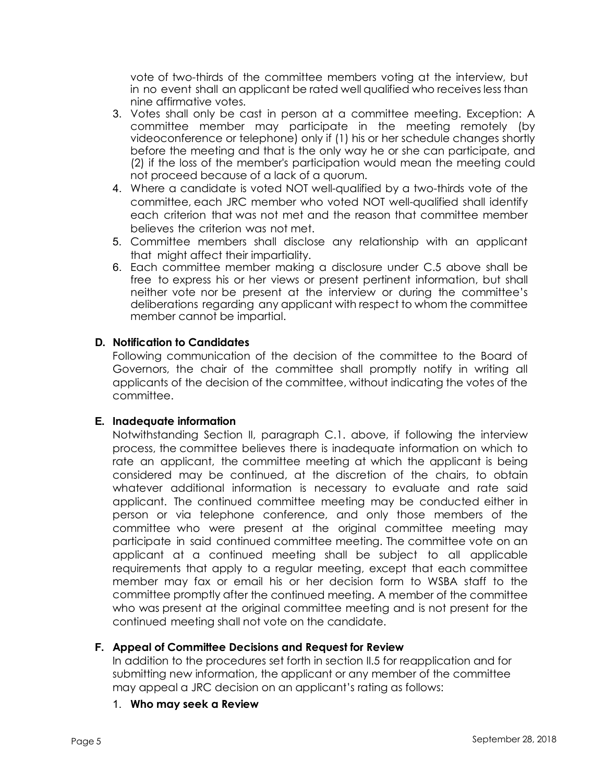vote of two-thirds of the committee members voting at the interview, but in no event shall an applicant be rated well qualified who receives less than nine affirmative votes.

- 3. Votes shall only be cast in person at a committee meeting. Exception: A committee member may participate in the meeting remotely (by videoconference or telephone) only if (1) his or her schedule changes shortly before the meeting and that is the only way he or she can participate, and (2) if the loss of the member's participation would mean the meeting could not proceed because of a lack of a quorum.
- 4. Where a candidate is voted NOT well-qualified by a two-thirds vote of the committee, each JRC member who voted NOT well-qualified shall identify each criterion that was not met and the reason that committee member believes the criterion was not met.
- 5. Committee members shall disclose any relationship with an applicant that might affect their impartiality.
- 6. Each committee member making a disclosure under C.5 above shall be free to express his or her views or present pertinent information, but shall neither vote nor be present at the interview or during the committee's deliberations regarding any applicant with respect to whom the committee member cannot be impartial.

### **D. Notification to Candidates**

Following communication of the decision of the committee to the Board of Governors, the chair of the committee shall promptly notify in writing all applicants of the decision of the committee, without indicating the votes of the committee.

#### **E. Inadequate information**

Notwithstanding Section II, paragraph C.1. above, if following the interview process, the committee believes there is inadequate information on which to rate an applicant, the committee meeting at which the applicant is being considered may be continued, at the discretion of the chairs, to obtain whatever additional information is necessary to evaluate and rate said applicant. The continued committee meeting may be conducted either in person or via telephone conference, and only those members of the committee who were present at the original committee meeting may participate in said continued committee meeting. The committee vote on an applicant at a continued meeting shall be subject to all applicable requirements that apply to a regular meeting, except that each committee member may fax or email his or her decision form to WSBA staff to the committee promptly after the continued meeting. A member of the committee who was present at the original committee meeting and is not present for the continued meeting shall not vote on the candidate.

#### **F. Appeal of Committee Decisions and Request for Review**

In addition to the procedures set forth in section II.5 for reapplication and for submitting new information, the applicant or any member of the committee may appeal a JRC decision on an applicant's rating as follows:

1. **Who may seek a Review**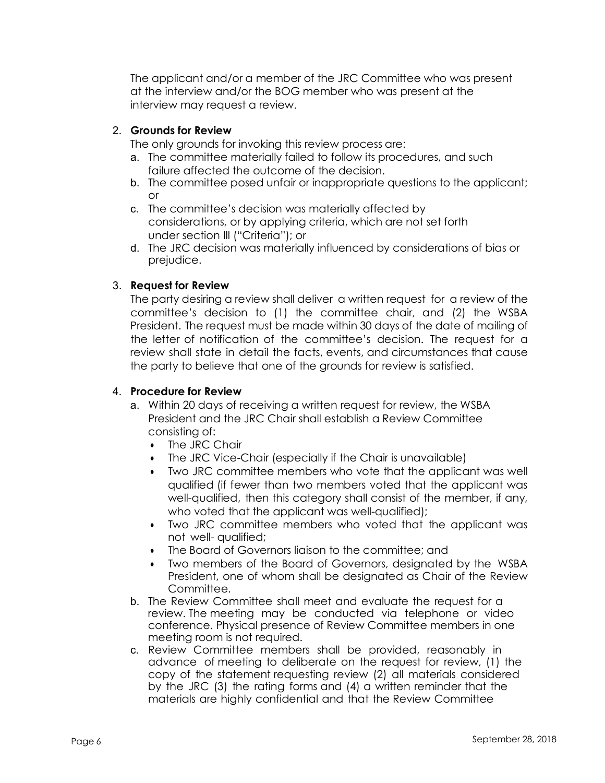The applicant and/or a member of the JRC Committee who was present at the interview and/or the BOG member who was present at the interview may request a review.

### 2. **Grounds for Review**

The only grounds for invoking this review process are:

- a. The committee materially failed to follow its procedures, and such failure affected the outcome of the decision.
- b. The committee posed unfair or inappropriate questions to the applicant; or
- c. The committee's decision was materially affected by considerations, or by applying criteria, which are not set forth under section III ("Criteria"); or
- d. The JRC decision was materially influenced by considerations of bias or prejudice.

### 3. **Request for Review**

The party desiring a review shall deliver a written request for a review of the committee's decision to (1) the committee chair, and (2) the WSBA President. The request must be made within 30 days of the date of mailing of the letter of notification of the committee's decision. The request for a review shall state in detail the facts, events, and circumstances that cause the party to believe that one of the grounds for review is satisfied.

### 4. **Procedure for Review**

- a. Within 20 days of receiving a written request for review, the WSBA President and the JRC Chair shall establish a Review Committee consisting of:
	- The JRC Chair
	- The JRC Vice-Chair (especially if the Chair is unavailable)
	- Two JRC committee members who vote that the applicant was well qualified (if fewer than two members voted that the applicant was well-qualified, then this category shall consist of the member, if any, who voted that the applicant was well-qualified);
	- Two JRC committee members who voted that the applicant was not well- qualified;
	- The Board of Governors liaison to the committee; and
	- Two members of the Board of Governors, designated by the WSBA President, one of whom shall be designated as Chair of the Review Committee.
- b. The Review Committee shall meet and evaluate the request for a review. The meeting may be conducted via telephone or video conference. Physical presence of Review Committee members in one meeting room is not required.
- c. Review Committee members shall be provided, reasonably in advance of meeting to deliberate on the request for review, (1) the copy of the statement requesting review (2) all materials considered by the JRC (3) the rating forms and (4) a written reminder that the materials are highly confidential and that the Review Committee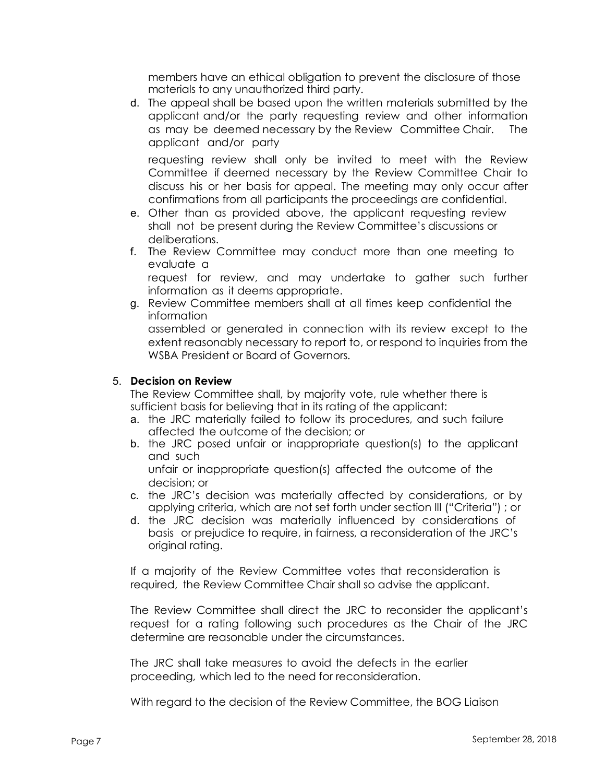members have an ethical obligation to prevent the disclosure of those materials to any unauthorized third party.

d. The appeal shall be based upon the written materials submitted by the applicant and/or the party requesting review and other information as may be deemed necessary by the Review Committee Chair. The applicant and/or party

requesting review shall only be invited to meet with the Review Committee if deemed necessary by the Review Committee Chair to discuss his or her basis for appeal. The meeting may only occur after confirmations from all participants the proceedings are confidential.

- e. Other than as provided above, the applicant requesting review shall not be present during the Review Committee's discussions or deliberations.
- f. The Review Committee may conduct more than one meeting to evaluate a

request for review, and may undertake to gather such further information as it deems appropriate.

g. Review Committee members shall at all times keep confidential the information

assembled or generated in connection with its review except to the extent reasonably necessary to report to, or respond to inquiries from the WSBA President or Board of Governors.

### 5. **Decision on Review**

The Review Committee shall, by majority vote, rule whether there is sufficient basis for believing that in its rating of the applicant:

- a. the JRC materially failed to follow its procedures, and such failure affected the outcome of the decision; or
- b. the JRC posed unfair or inappropriate question(s) to the applicant and such

unfair or inappropriate question(s) affected the outcome of the decision; or

- c. the JRC's decision was materially affected by considerations, or by applying criteria, which are not set forth under section III ("Criteria") ; or
- d. the JRC decision was materially influenced by considerations of basis or prejudice to require, in fairness, a reconsideration of the JRC's original rating.

If a majority of the Review Committee votes that reconsideration is required, the Review Committee Chair shall so advise the applicant.

The Review Committee shall direct the JRC to reconsider the applicant's request for a rating following such procedures as the Chair of the JRC determine are reasonable under the circumstances.

The JRC shall take measures to avoid the defects in the earlier proceeding, which led to the need for reconsideration.

With regard to the decision of the Review Committee, the BOG Liaison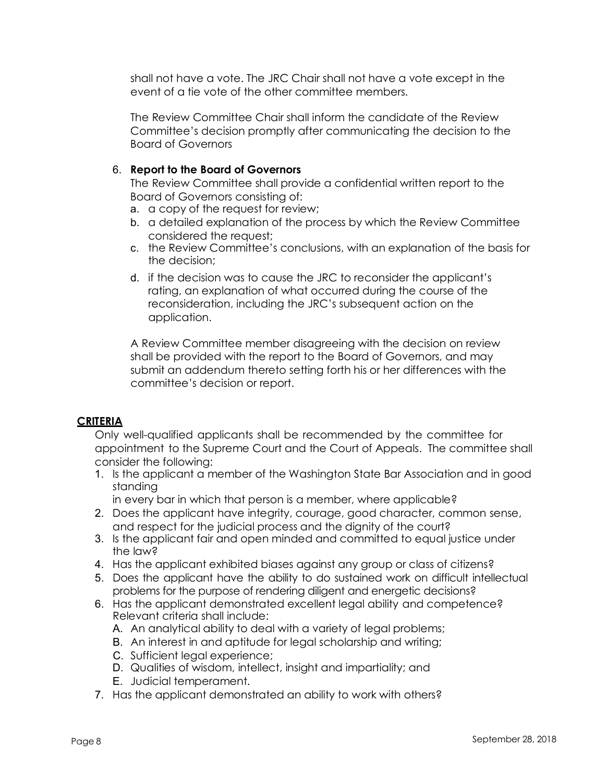shall not have a vote. The JRC Chair shall not have a vote except in the event of a tie vote of the other committee members.

The Review Committee Chair shall inform the candidate of the Review Committee's decision promptly after communicating the decision to the Board of Governors

## 6. **Report to the Board of Governors**

The Review Committee shall provide a confidential written report to the Board of Governors consisting of:

- a. a copy of the request for review;
- b. a detailed explanation of the process by which the Review Committee considered the request;
- c. the Review Committee's conclusions, with an explanation of the basis for the decision;
- d. if the decision was to cause the JRC to reconsider the applicant's rating, an explanation of what occurred during the course of the reconsideration, including the JRC's subsequent action on the application.

A Review Committee member disagreeing with the decision on review shall be provided with the report to the Board of Governors, and may submit an addendum thereto setting forth his or her differences with the committee's decision or report.

# **CRITERIA**

Only well-qualified applicants shall be recommended by the committee for appointment to the Supreme Court and the Court of Appeals. The committee shall consider the following:

1. Is the applicant a member of the Washington State Bar Association and in good standing

in every bar in which that person is a member, where applicable?

- 2. Does the applicant have integrity, courage, good character, common sense, and respect for the judicial process and the dignity of the court?
- 3. Is the applicant fair and open minded and committed to equal justice under the law?
- 4. Has the applicant exhibited biases against any group or class of citizens?
- 5. Does the applicant have the ability to do sustained work on difficult intellectual problems for the purpose of rendering diligent and energetic decisions?
- 6. Has the applicant demonstrated excellent legal ability and competence? Relevant criteria shall include:
	- A. An analytical ability to deal with a variety of legal problems;
	- B. An interest in and aptitude for legal scholarship and writing;
	- C. Sufficient legal experience;
	- D. Qualities of wisdom, intellect, insight and impartiality; and
	- E. Judicial temperament.
- 7. Has the applicant demonstrated an ability to work with others?